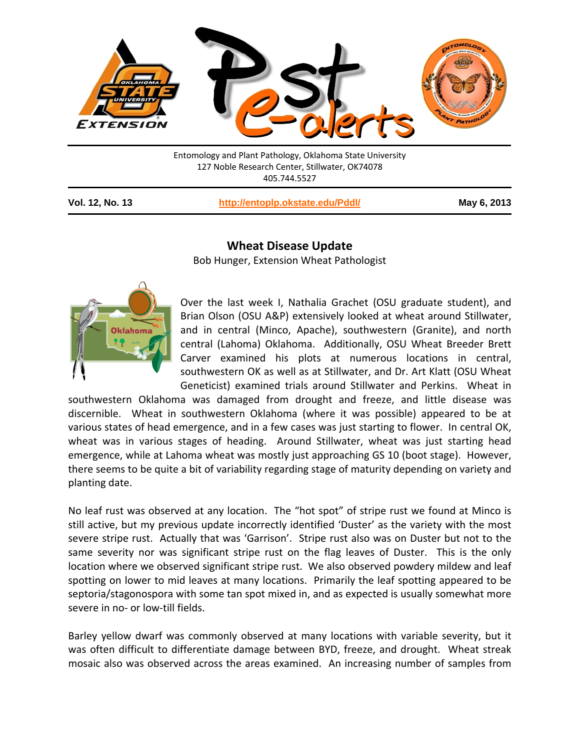

Entomology and Plant Pathology, Oklahoma State University 127 Noble Research Center, Stillwater, OK74078 405.744.5527

**Vol. 12, No. 13 <http://entoplp.okstate.edu/Pddl/> May 6, 2013**

## **Wheat Disease Update**

Bob Hunger, Extension Wheat Pathologist



Over the last week I, Nathalia Grachet (OSU graduate student), and Brian Olson (OSU A&P) extensively looked at wheat around Stillwater, and in central (Minco, Apache), southwestern (Granite), and north central (Lahoma) Oklahoma. Additionally, OSU Wheat Breeder Brett Carver examined his plots at numerous locations in central, southwestern OK as well as at Stillwater, and Dr. Art Klatt (OSU Wheat Geneticist) examined trials around Stillwater and Perkins. Wheat in

southwestern Oklahoma was damaged from drought and freeze, and little disease was discernible. Wheat in southwestern Oklahoma (where it was possible) appeared to be at various states of head emergence, and in a few cases was just starting to flower. In central OK, wheat was in various stages of heading. Around Stillwater, wheat was just starting head emergence, while at Lahoma wheat was mostly just approaching GS 10 (boot stage). However, there seems to be quite a bit of variability regarding stage of maturity depending on variety and planting date.

No leaf rust was observed at any location. The "hot spot" of stripe rust we found at Minco is still active, but my previous update incorrectly identified 'Duster' as the variety with the most severe stripe rust. Actually that was 'Garrison'. Stripe rust also was on Duster but not to the same severity nor was significant stripe rust on the flag leaves of Duster. This is the only location where we observed significant stripe rust. We also observed powdery mildew and leaf spotting on lower to mid leaves at many locations. Primarily the leaf spotting appeared to be septoria/stagonospora with some tan spot mixed in, and as expected is usually somewhat more severe in no- or low-till fields.

Barley yellow dwarf was commonly observed at many locations with variable severity, but it was often difficult to differentiate damage between BYD, freeze, and drought. Wheat streak mosaic also was observed across the areas examined. An increasing number of samples from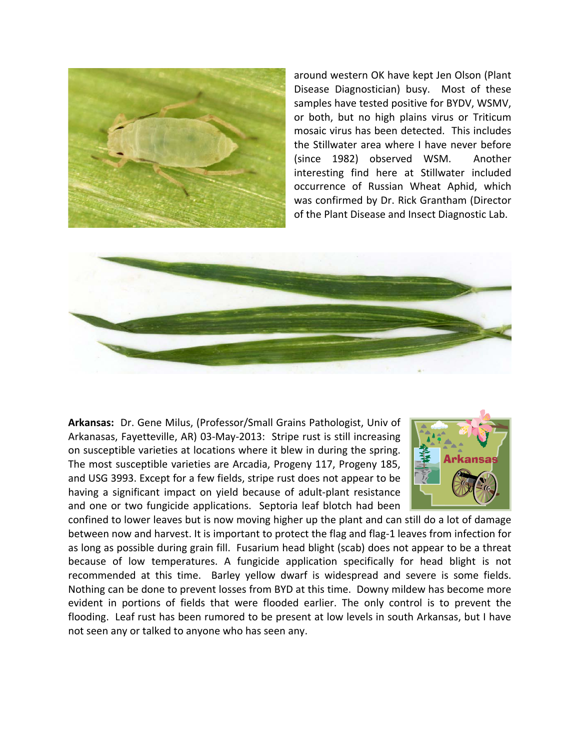

around western OK have kept Jen Olson (Plant Disease Diagnostician) busy. Most of these samples have tested positive for BYDV, WSMV, or both, but no high plains virus or Triticum mosaic virus has been detected. This includes the Stillwater area where I have never before (since 1982) observed WSM. Another interesting find here at Stillwater included occurrence of Russian Wheat Aphid, which was confirmed by Dr. Rick Grantham (Director of the Plant Disease and Insect Diagnostic Lab.



**Arkansas:** Dr. Gene Milus, (Professor/Small Grains Pathologist, Univ of Arkanasas, Fayetteville, AR) 03-May-2013: Stripe rust is still increasing on susceptible varieties at locations where it blew in during the spring. The most susceptible varieties are Arcadia, Progeny 117, Progeny 185, and USG 3993. Except for a few fields, stripe rust does not appear to be having a significant impact on yield because of adult-plant resistance and one or two fungicide applications. Septoria leaf blotch had been



confined to lower leaves but is now moving higher up the plant and can still do a lot of damage between now and harvest. It is important to protect the flag and flag-1 leaves from infection for as long as possible during grain fill. Fusarium head blight (scab) does not appear to be a threat because of low temperatures. A fungicide application specifically for head blight is not recommended at this time. Barley yellow dwarf is widespread and severe is some fields. Nothing can be done to prevent losses from BYD at this time. Downy mildew has become more evident in portions of fields that were flooded earlier. The only control is to prevent the flooding. Leaf rust has been rumored to be present at low levels in south Arkansas, but I have not seen any or talked to anyone who has seen any.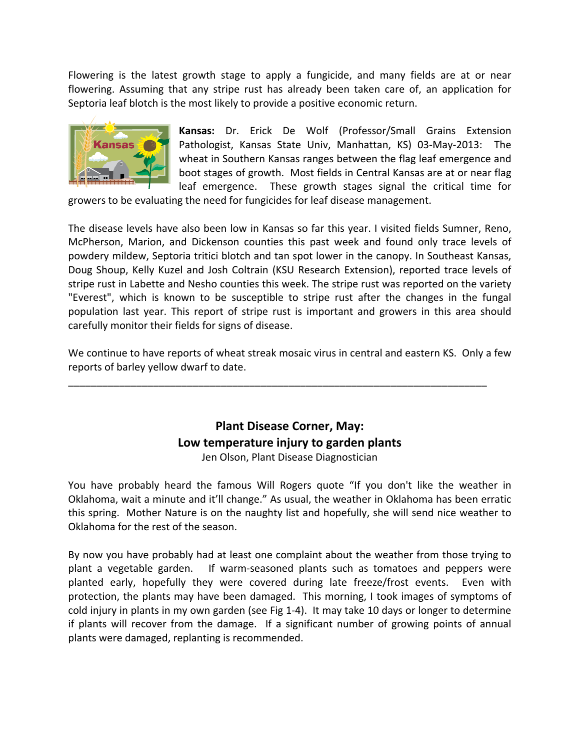Flowering is the latest growth stage to apply a fungicide, and many fields are at or near flowering. Assuming that any stripe rust has already been taken care of, an application for Septoria leaf blotch is the most likely to provide a positive economic return.



**Kansas:** Dr. Erick De Wolf (Professor/Small Grains Extension Pathologist, Kansas State Univ, Manhattan, KS) 03-May-2013: The wheat in Southern Kansas ranges between the flag leaf emergence and boot stages of growth. Most fields in Central Kansas are at or near flag leaf emergence. These growth stages signal the critical time for

growers to be evaluating the need for fungicides for leaf disease management.

The disease levels have also been low in Kansas so far this year. I visited fields Sumner, Reno, McPherson, Marion, and Dickenson counties this past week and found only trace levels of powdery mildew, Septoria tritici blotch and tan spot lower in the canopy. In Southeast Kansas, Doug Shoup, Kelly Kuzel and Josh Coltrain (KSU Research Extension), reported trace levels of stripe rust in Labette and Nesho counties this week. The stripe rust was reported on the variety "Everest", which is known to be susceptible to stripe rust after the changes in the fungal population last year. This report of stripe rust is important and growers in this area should carefully monitor their fields for signs of disease.

We continue to have reports of wheat streak mosaic virus in central and eastern KS. Only a few reports of barley yellow dwarf to date.

\_\_\_\_\_\_\_\_\_\_\_\_\_\_\_\_\_\_\_\_\_\_\_\_\_\_\_\_\_\_\_\_\_\_\_\_\_\_\_\_\_\_\_\_\_\_\_\_\_\_\_\_\_\_\_\_\_\_\_\_\_\_\_\_\_\_\_\_\_\_\_\_\_\_

## **Plant Disease Corner, May: Low temperature injury to garden plants**

Jen Olson, Plant Disease Diagnostician

You have probably heard the famous Will Rogers quote "If you don't like the weather in Oklahoma, wait a minute and it'll change." As usual, the weather in Oklahoma has been erratic this spring. Mother Nature is on the naughty list and hopefully, she will send nice weather to Oklahoma for the rest of the season.

By now you have probably had at least one complaint about the weather from those trying to plant a vegetable garden. If warm-seasoned plants such as tomatoes and peppers were planted early, hopefully they were covered during late freeze/frost events. Even with protection, the plants may have been damaged. This morning, I took images of symptoms of cold injury in plants in my own garden (see Fig 1-4). It may take 10 days or longer to determine if plants will recover from the damage. If a significant number of growing points of annual plants were damaged, replanting is recommended.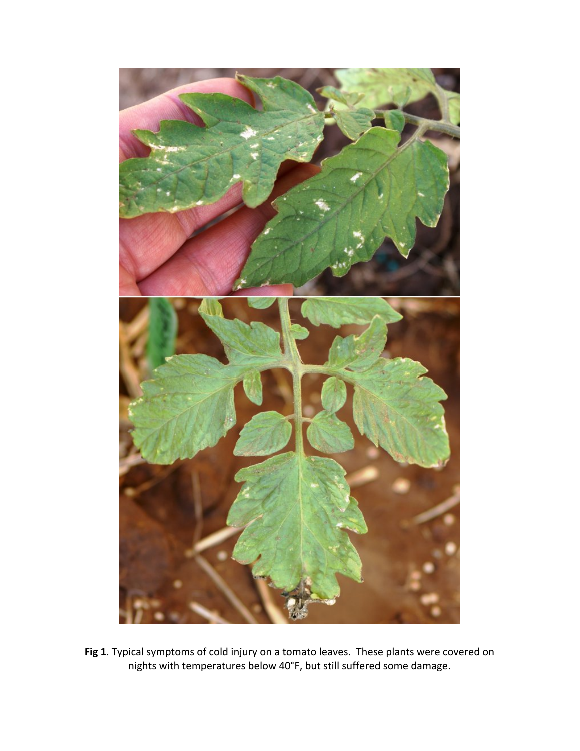

**Fig 1**. Typical symptoms of cold injury on a tomato leaves. These plants were covered on nights with temperatures below 40°F, but still suffered some damage.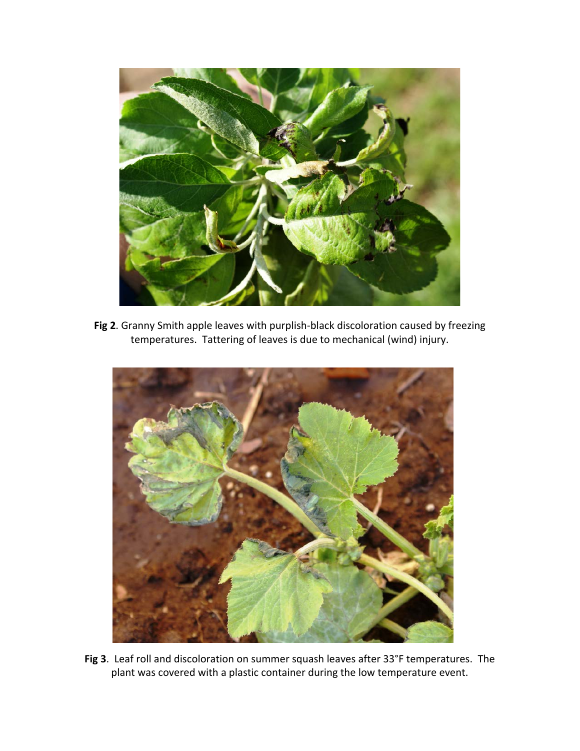

**Fig 2**. Granny Smith apple leaves with purplish-black discoloration caused by freezing temperatures. Tattering of leaves is due to mechanical (wind) injury.



**Fig 3**. Leaf roll and discoloration on summer squash leaves after 33°F temperatures. The plant was covered with a plastic container during the low temperature event.